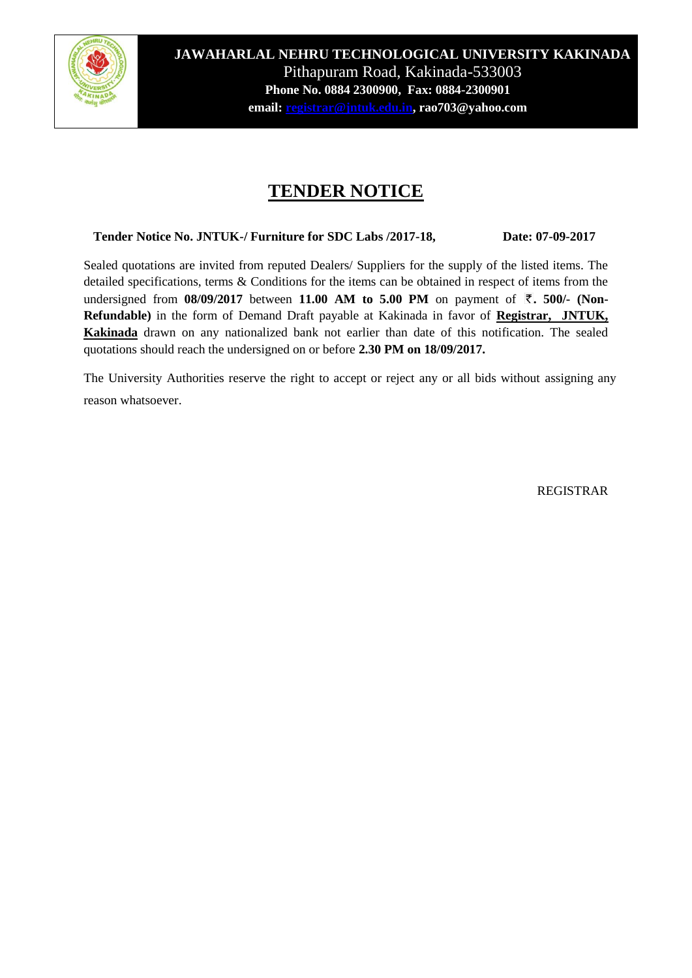

**JAWAHARLAL NEHRU TECHNOLOGICAL UNIVERSITY KAKINADA UNIVAHARLAL NEHRU TECHNOLOGICAL UNIVERSITY KAKINADA** Pithapuram Road, Kakinada Pithapuram Road, Kakinada-533003 **EXAMPLE NO. 0884 2300200, FAX: 0884 2300201 Phone No. 0884 2300900, Fax: 0884-2300901 email[: registrar@jntuk.edu.in,](mailto:registrar@jntuk.edu.in) rao703@yahoo.com** 

## **TENDER NOTICE**

 **Tender Notice No. JNTUK-/ Furniture for SDC Labs /2017-18, Date: 07-09-2017**

Sealed quotations are invited from reputed Dealers/ Suppliers for the supply of the listed items. The detailed specifications, terms & Conditions for the items can be obtained in respect of items from the undersigned from 08/09/2017 between 11.00 AM to 5.00 PM on payment of ₹. 500/- (Non-**Refundable)** in the form of Demand Draft payable at Kakinada in favor of **Registrar, JNTUK, Kakinada** drawn on any nationalized bank not earlier than date of this notification. The sealed quotations should reach the undersigned on or before **2.30 PM on 18/09/2017.**

The University Authorities reserve the right to accept or reject any or all bids without assigning any reason whatsoever.

REGISTRAR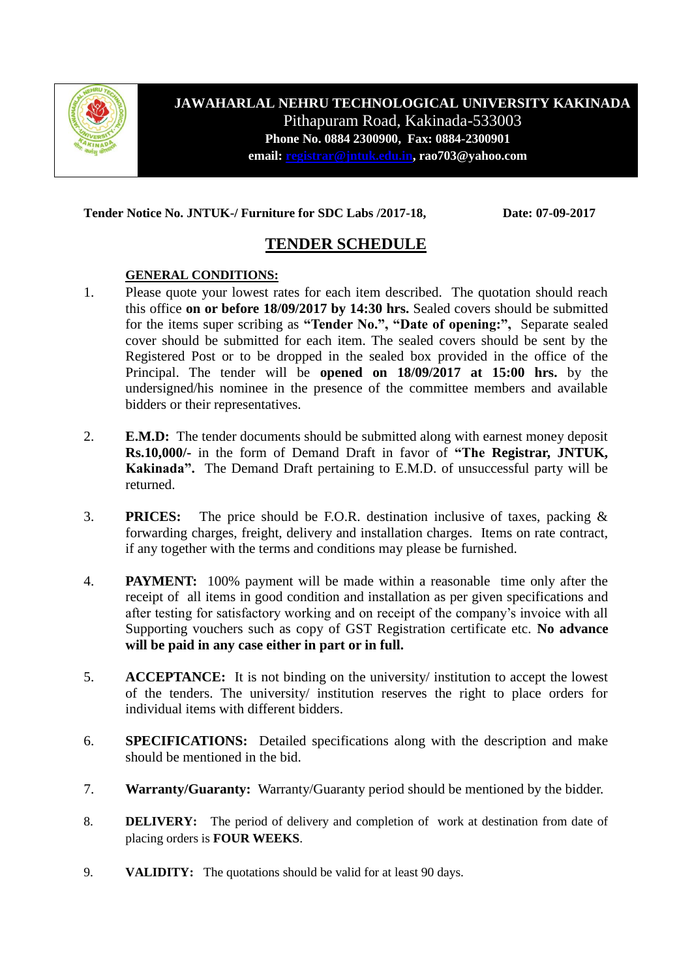

**JAWAHARLAL NEHRU TECHNOLOGICAL UNIVERSITY KAKINADA** Pithapuram Road, Kakinada-533003 **Phone No. 0884 2300900, Fax: 0884-2300901 email[: registrar@jntuk.edu.in,](mailto:registrar@jntuk.edu.in) rao703@yahoo.com**

**Tender Notice No. JNTUK-/ Furniture for SDC Labs /2017-18, Date: 07-09-2017**

## **TENDER SCHEDULE**

#### **GENERAL CONDITIONS:**

- 1. Please quote your lowest rates for each item described. The quotation should reach this office **on or before 18/09/2017 by 14:30 hrs.** Sealed covers should be submitted for the items super scribing as **"Tender No.", "Date of opening:",** Separate sealed cover should be submitted for each item. The sealed covers should be sent by the Registered Post or to be dropped in the sealed box provided in the office of the Principal. The tender will be **opened on 18/09/2017 at 15:00 hrs.** by the undersigned/his nominee in the presence of the committee members and available bidders or their representatives.
- 2. **E.M.D:** The tender documents should be submitted along with earnest money deposit **Rs.10,000/-** in the form of Demand Draft in favor of **"The Registrar, JNTUK, Kakinada".** The Demand Draft pertaining to E.M.D. of unsuccessful party will be returned.
- 3. **PRICES:** The price should be F.O.R. destination inclusive of taxes, packing & forwarding charges, freight, delivery and installation charges. Items on rate contract, if any together with the terms and conditions may please be furnished.
- 4. **PAYMENT:** 100% payment will be made within a reasonable time only after the receipt of all items in good condition and installation as per given specifications and after testing for satisfactory working and on receipt of the company's invoice with all Supporting vouchers such as copy of GST Registration certificate etc. **No advance will be paid in any case either in part or in full.**
- 5. **ACCEPTANCE:** It is not binding on the university/ institution to accept the lowest of the tenders. The university/ institution reserves the right to place orders for individual items with different bidders.
- 6. **SPECIFICATIONS:** Detailed specifications along with the description and make should be mentioned in the bid.
- 7. **Warranty/Guaranty:** Warranty/Guaranty period should be mentioned by the bidder.
- 8. **DELIVERY:** The period of delivery and completion of work at destination from date of placing orders is **FOUR WEEKS**.
- 9. **VALIDITY:** The quotations should be valid for at least 90 days.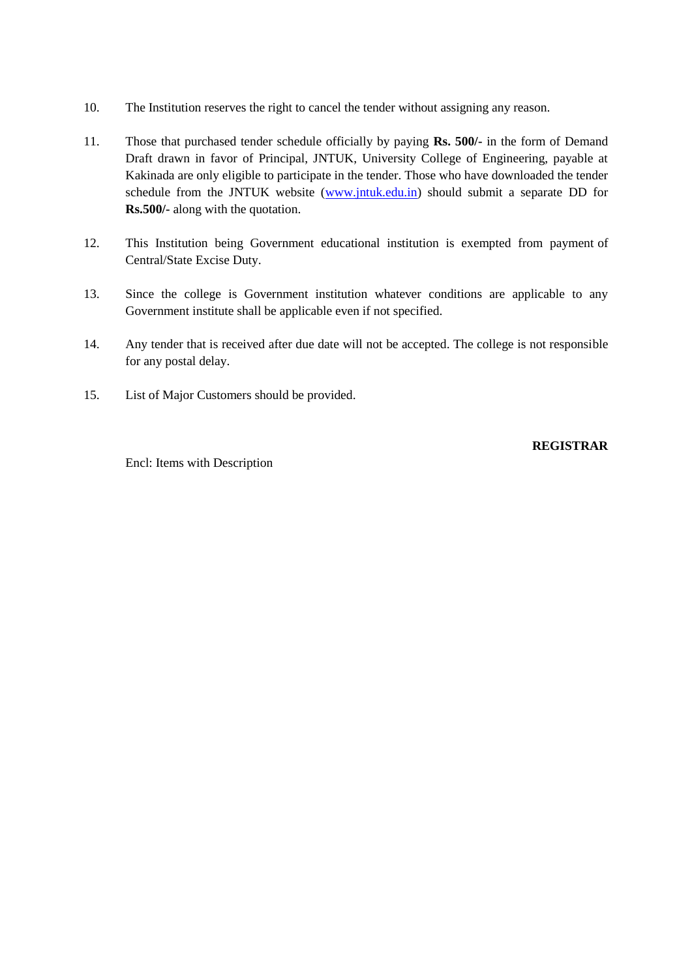- 10. The Institution reserves the right to cancel the tender without assigning any reason.
- 11. Those that purchased tender schedule officially by paying **Rs. 500/-** in the form of Demand Draft drawn in favor of Principal, JNTUK, University College of Engineering, payable at Kakinada are only eligible to participate in the tender. Those who have downloaded the tender schedule from the JNTUK website [\(www.jntuk.edu.in\)](http://www.jntuk.edu.in/) should submit a separate DD for **Rs.500/-** along with the quotation.
- 12. This Institution being Government educational institution is exempted from payment of Central/State Excise Duty.
- 13. Since the college is Government institution whatever conditions are applicable to any Government institute shall be applicable even if not specified.
- 14. Any tender that is received after due date will not be accepted. The college is not responsible for any postal delay.
- 15. List of Major Customers should be provided.

#### **REGISTRAR**

Encl: Items with Description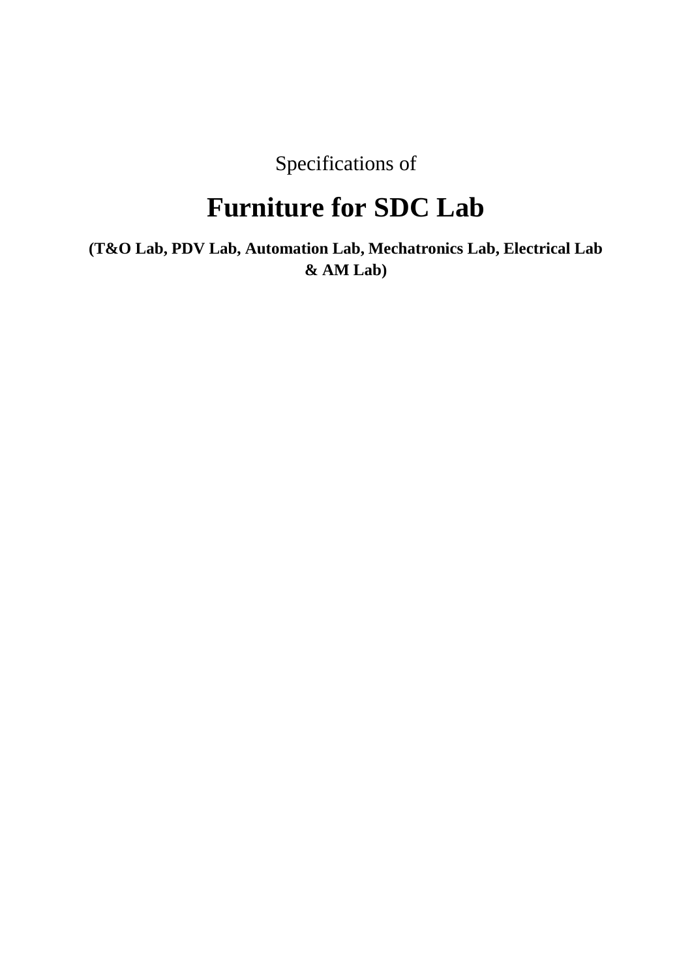Specifications of

# **Furniture for SDC Lab**

**(T&O Lab, PDV Lab, Automation Lab, Mechatronics Lab, Electrical Lab & AM Lab)**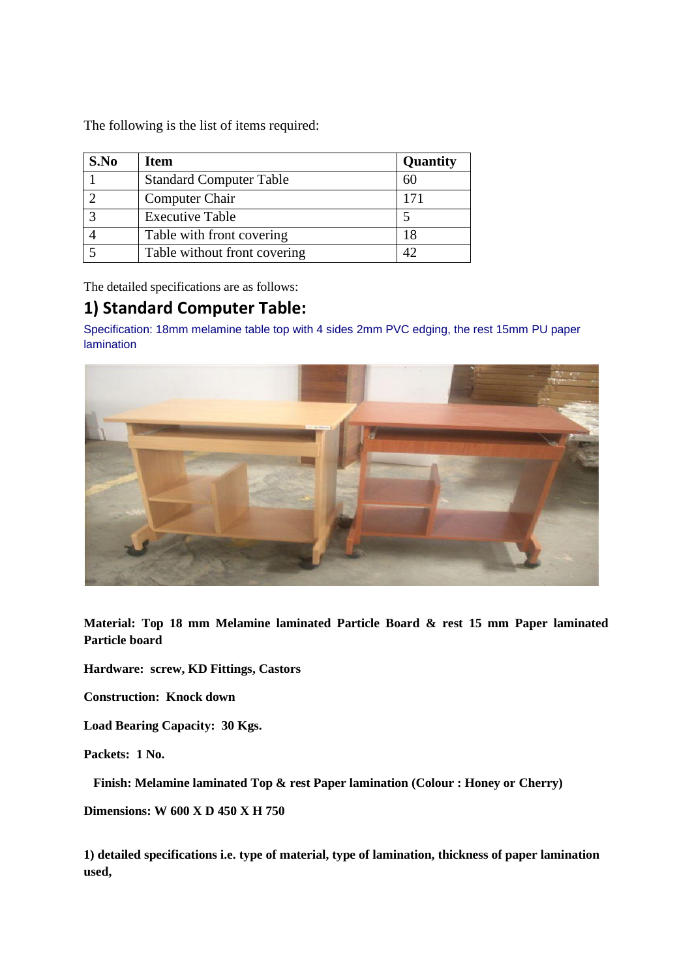The following is the list of items required:

| S.No | Item                           | <b>Quantity</b> |
|------|--------------------------------|-----------------|
|      | <b>Standard Computer Table</b> | 60              |
|      | Computer Chair                 |                 |
|      | <b>Executive Table</b>         |                 |
|      | Table with front covering      | 18              |
|      | Table without front covering   |                 |

The detailed specifications are as follows:

## **1) Standard Computer Table:**

Specification: 18mm melamine table top with 4 sides 2mm PVC edging, the rest 15mm PU paper lamination



**Material: Top 18 mm Melamine laminated Particle Board & rest 15 mm Paper laminated Particle board**

**Hardware: screw, KD Fittings, Castors**

**Construction: Knock down** 

**Load Bearing Capacity: 30 Kgs.**

**Packets: 1 No.** 

 **Finish: Melamine laminated Top & rest Paper lamination (Colour : Honey or Cherry)**

**Dimensions: W 600 X D 450 X H 750**

**1) detailed specifications i.e. type of material, type of lamination, thickness of paper lamination used,**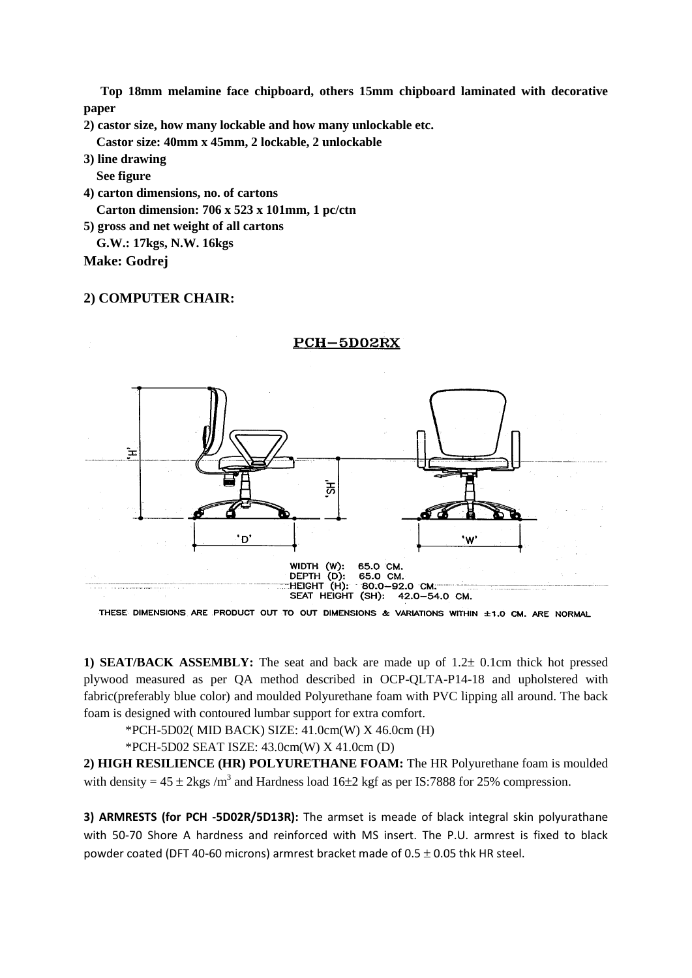**Top 18mm melamine face chipboard, others 15mm chipboard laminated with decorative paper** 

**2) castor size, how many lockable and how many unlockable etc.**

 **Castor size: 40mm x 45mm, 2 lockable, 2 unlockable** 

**3) line drawing**

 **See figure**

**4) carton dimensions, no. of cartons Carton dimension: 706 x 523 x 101mm, 1 pc/ctn**

**5) gross and net weight of all cartons**

 **G.W.: 17kgs, N.W. 16kgs**

**Make: Godrej**

#### **2) COMPUTER CHAIR:**



PCH-5D02RX

THESE DIMENSIONS ARE PRODUCT OUT TO OUT DIMENSIONS & VARIATIONS WITHIN ±1.0 CM. ARE NORMAL

**1) SEAT/BACK ASSEMBLY:** The seat and back are made up of  $1.2 \pm 0.1$ cm thick hot pressed plywood measured as per QA method described in OCP-QLTA-P14-18 and upholstered with fabric(preferably blue color) and moulded Polyurethane foam with PVC lipping all around. The back foam is designed with contoured lumbar support for extra comfort.

\*PCH-5D02( MID BACK) SIZE: 41.0cm(W) X 46.0cm (H)

\*PCH-5D02 SEAT ISZE: 43.0cm(W) X 41.0cm (D)

**2) HIGH RESILIENCE (HR) POLYURETHANE FOAM:** The HR Polyurethane foam is moulded with density =  $45 \pm 2$ kgs /m<sup>3</sup> and Hardness load 16 $\pm 2$  kgf as per IS:7888 for 25% compression.

**3) ARMRESTS (for PCH -5D02R/5D13R):** The armset is meade of black integral skin polyurathane with 50-70 Shore A hardness and reinforced with MS insert. The P.U. armrest is fixed to black powder coated (DFT 40-60 microns) armrest bracket made of  $0.5 \pm 0.05$  thk HR steel.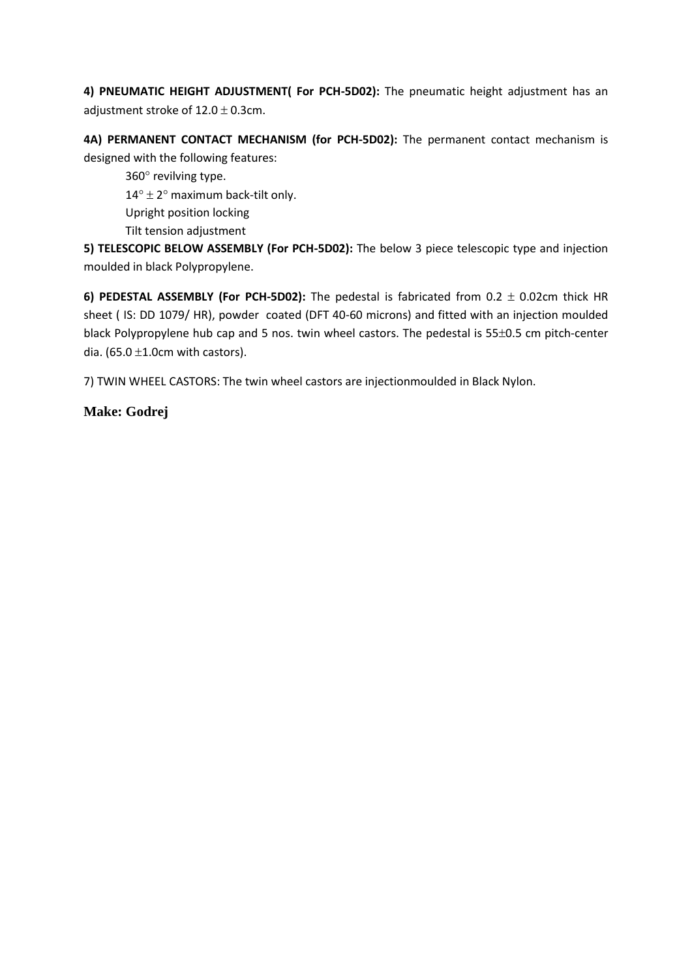**4) PNEUMATIC HEIGHT ADJUSTMENT( For PCH-5D02):** The pneumatic height adjustment has an adjustment stroke of  $12.0 \pm 0.3$ cm.

**4A) PERMANENT CONTACT MECHANISM (for PCH-5D02):** The permanent contact mechanism is designed with the following features:

 $360^\circ$  revilving type.  $14^{\circ} \pm 2^{\circ}$  maximum back-tilt only. Upright position locking Tilt tension adjustment

**5) TELESCOPIC BELOW ASSEMBLY (For PCH-5D02):** The below 3 piece telescopic type and injection moulded in black Polypropylene.

**6) PEDESTAL ASSEMBLY (For PCH-5D02):** The pedestal is fabricated from  $0.2 \pm 0.02$ cm thick HR sheet ( IS: DD 1079/ HR), powder coated (DFT 40-60 microns) and fitted with an injection moulded black Polypropylene hub cap and 5 nos. twin wheel castors. The pedestal is 55±0.5 cm pitch-center dia. (65.0  $\pm$ 1.0cm with castors).

7) TWIN WHEEL CASTORS: The twin wheel castors are injectionmoulded in Black Nylon.

#### **Make: Godrej**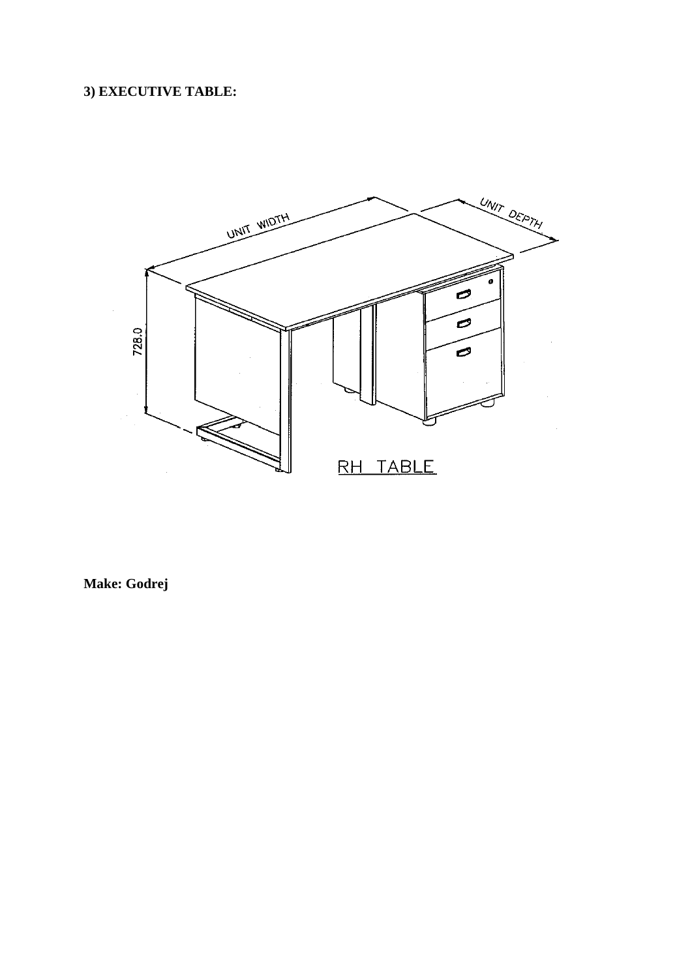## 3) EXECUTIVE TABLE:



Make: Godrej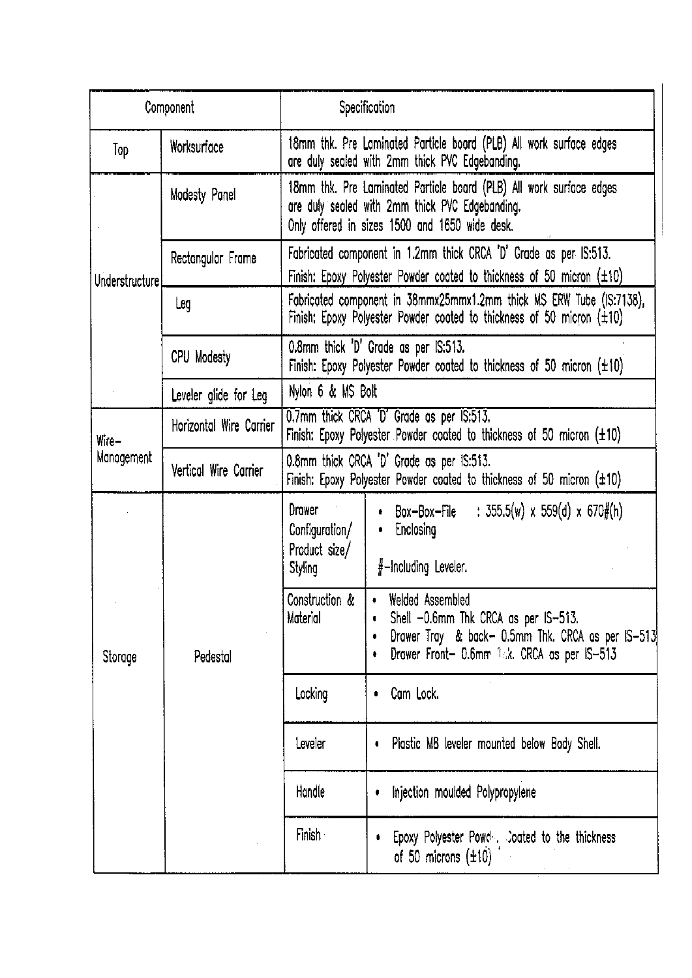| Component           |                         |                                                                                                                                                    | Specification                                                                                                                                                            |  |
|---------------------|-------------------------|----------------------------------------------------------------------------------------------------------------------------------------------------|--------------------------------------------------------------------------------------------------------------------------------------------------------------------------|--|
| Top                 | Worksurface             |                                                                                                                                                    | 18mm thk. Pre Laminated Particle board (PLB) All work surface edges<br>are duly sealed with 2mm thick PVC Edgebanding.                                                   |  |
| Understructure      | Modesty Panel           |                                                                                                                                                    | 18mm thk. Pre Laminated Particle board (PLB) All work surface edges<br>are duly sealed with 2mm thick PVC Edgebanding.<br>Only offered in sizes 1500 and 1650 wide desk. |  |
|                     | Rectangular Frame       | Fabricated component in 1.2mm thick CRCA 'D' Grade as per IS:513.<br>Finish: Epoxy Polyester Powder coated to thickness of 50 micron $(\pm 10)$    |                                                                                                                                                                          |  |
|                     | Leg                     | Fabricated component in 38mmx25mmx1.2mm thick MS ERW Tube (IS:7138),<br>Finish: Epoxy Polyester Powder coated to thickness of 50 micron $(\pm 10)$ |                                                                                                                                                                          |  |
|                     | CPU Modesty             | 0.8mm thick 'D' Grade as per IS:513.<br>Finish: Epoxy Polyester Powder coated to thickness of 50 micron $(\pm 10)$                                 |                                                                                                                                                                          |  |
|                     | Leveler glide for Leg   | Nylon 6 & MS Bolt                                                                                                                                  |                                                                                                                                                                          |  |
| Wire–<br>Management | Horizontal Wire Carrier | 0.7mm thick CRCA 'D' Grade as per IS:513.<br>Finish: Epoxy Polyester Powder coated to thickness of 50 micron $(\pm 10)$                            |                                                                                                                                                                          |  |
|                     | Vertical Wire Carrier   | 0.8mm thick CRCA 'D' Grade as per IS:513.<br>Finish: Epoxy Polyester Powder coated to thickness of 50 micron (±10)                                 |                                                                                                                                                                          |  |
| Storage             | Pedestal                | Drawer<br>Configuration/<br>Product size/<br>Styling                                                                                               | Box-Box-File : $355.5(w) \times 559(d) \times 670\frac{1}{10}(h)$<br>Enclosing<br>٠<br>$#$ -Including Leveler.                                                           |  |
|                     |                         | Construction &<br>Moterial                                                                                                                         | • Welded Assembled<br>Shell -0.6mm Thk CRCA as per IS-513.<br>0<br>Drawer Tray & back- 0.5mm Thk. CRCA as per IS-513<br>Drawer Front- 0.6mm 14k. CRCA as per IS-513<br>٠ |  |
|                     |                         | Locking                                                                                                                                            | Cam Lock.<br>0                                                                                                                                                           |  |
|                     |                         | Leveler                                                                                                                                            | Plastic M8 leveler mounted below Body Shell.                                                                                                                             |  |
|                     |                         | Handle                                                                                                                                             | Injection moulded Polypropylene                                                                                                                                          |  |
|                     |                         | <b>Finish</b>                                                                                                                                      | Epoxy Polyester Powd . Coated to the thickness<br>of 50 microns $(\pm 10)$                                                                                               |  |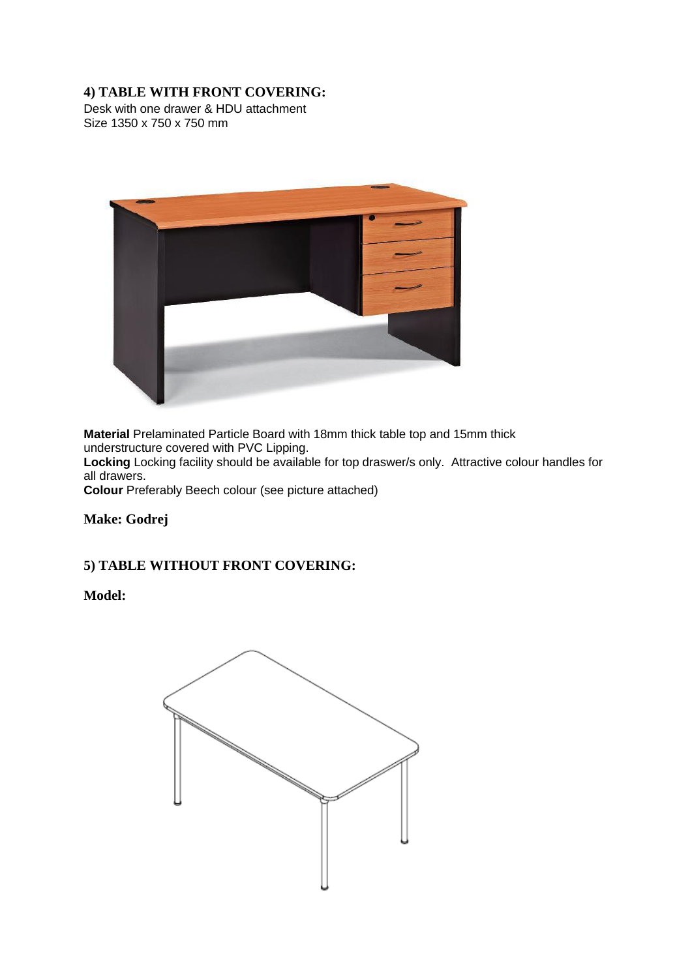#### **4) TABLE WITH FRONT COVERING:**

Desk with one drawer & HDU attachment Size 1350 x 750 x 750 mm



**Material** Prelaminated Particle Board with 18mm thick table top and 15mm thick understructure covered with PVC Lipping.

**Locking** Locking facility should be available for top draswer/s only. Attractive colour handles for all drawers.

**Colour** Preferably Beech colour (see picture attached)

**Make: Godrej**

#### **5) TABLE WITHOUT FRONT COVERING:**

**Model:**